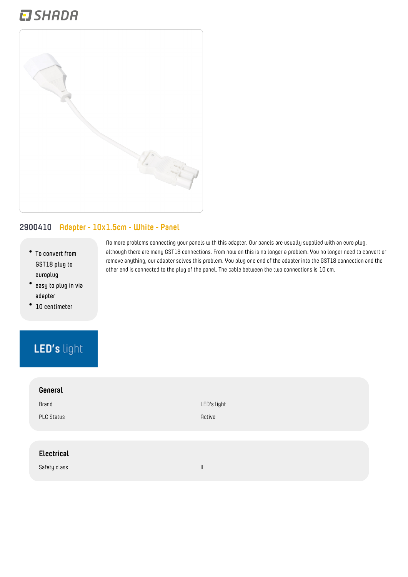## **EI SHADA**



#### **2900410 Adapter - 10x1.5cm - White - Panel**

- **To convert from GST18 plug to europlug**
- **easy to plug in via adapter**
- **10 centimeter**

### LED's light

| General           |
|-------------------|
|                   |
| Brand             |
| <b>PLC Status</b> |
|                   |
|                   |
| <b>Electrical</b> |
|                   |
| Safety class      |

No more problems connecting your panels with this adapter. Our panels are usually supplied with an euro plug, although there are many GST18 connections. From now on this is no longer a problem. You no longer need to convert or remove anything, our adapter solves this problem. You plug one end of the adapter into the GST18 connection and the other end is connected to the plug of the panel. The cable between the two connections is 10 cm.